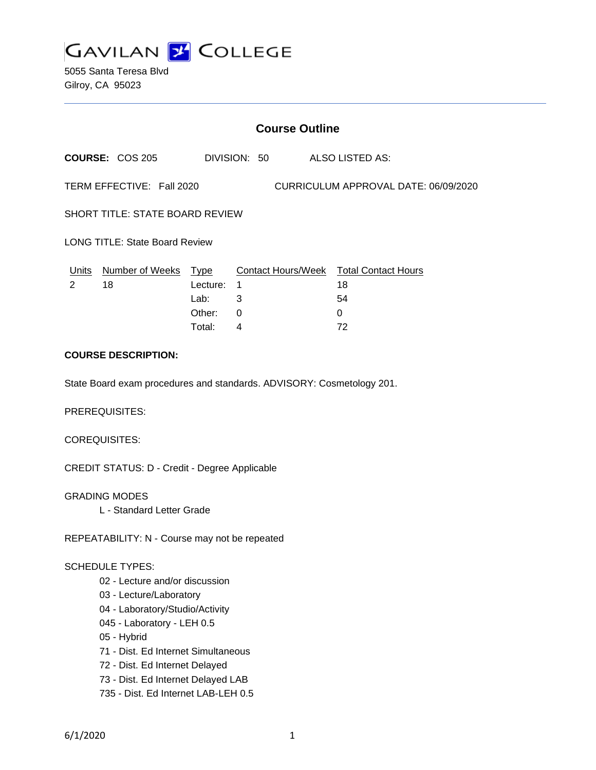

5055 Santa Teresa Blvd Gilroy, CA 95023

|                                                                       | <b>Course Outline</b>      |          |                              |  |                                        |  |
|-----------------------------------------------------------------------|----------------------------|----------|------------------------------|--|----------------------------------------|--|
|                                                                       | <b>COURSE: COS 205</b>     |          | DIVISION: 50 ALSO LISTED AS: |  |                                        |  |
| TERM EFFECTIVE: Fall 2020<br>CURRICULUM APPROVAL DATE: 06/09/2020     |                            |          |                              |  |                                        |  |
| <b>SHORT TITLE: STATE BOARD REVIEW</b>                                |                            |          |                              |  |                                        |  |
| <b>LONG TITLE: State Board Review</b>                                 |                            |          |                              |  |                                        |  |
|                                                                       | Units Number of Weeks Type |          |                              |  | Contact Hours/Week Total Contact Hours |  |
| $\mathcal{P}$                                                         | 18                         | Lecture: | 1                            |  | 18                                     |  |
|                                                                       |                            | Lab:     | 3                            |  | 54                                     |  |
|                                                                       |                            | Other:   | 0                            |  | $\Omega$                               |  |
|                                                                       |                            | Total:   | 4                            |  | 72                                     |  |
| <b>COURSE DESCRIPTION:</b>                                            |                            |          |                              |  |                                        |  |
| State Board exam procedures and standards. ADVISORY: Cosmetology 201. |                            |          |                              |  |                                        |  |

PREREQUISITES:

COREQUISITES:

CREDIT STATUS: D - Credit - Degree Applicable

GRADING MODES

L - Standard Letter Grade

REPEATABILITY: N - Course may not be repeated

#### SCHEDULE TYPES:

- 02 Lecture and/or discussion
- 03 Lecture/Laboratory
- 04 Laboratory/Studio/Activity
- 045 Laboratory LEH 0.5
- 05 Hybrid
- 71 Dist. Ed Internet Simultaneous
- 72 Dist. Ed Internet Delayed
- 73 Dist. Ed Internet Delayed LAB
- 735 Dist. Ed Internet LAB-LEH 0.5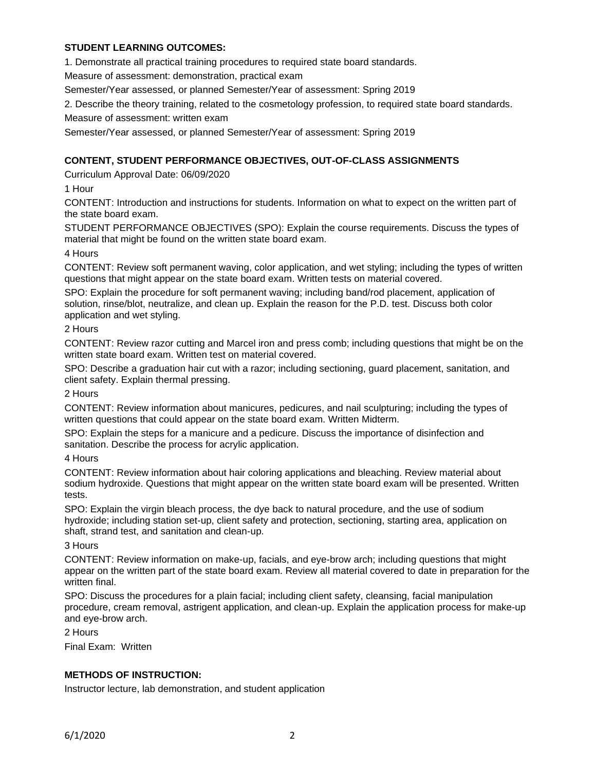# **STUDENT LEARNING OUTCOMES:**

1. Demonstrate all practical training procedures to required state board standards.

Measure of assessment: demonstration, practical exam

Semester/Year assessed, or planned Semester/Year of assessment: Spring 2019

2. Describe the theory training, related to the cosmetology profession, to required state board standards.

Measure of assessment: written exam

Semester/Year assessed, or planned Semester/Year of assessment: Spring 2019

# **CONTENT, STUDENT PERFORMANCE OBJECTIVES, OUT-OF-CLASS ASSIGNMENTS**

Curriculum Approval Date: 06/09/2020

1 Hour

CONTENT: Introduction and instructions for students. Information on what to expect on the written part of the state board exam.

STUDENT PERFORMANCE OBJECTIVES (SPO): Explain the course requirements. Discuss the types of material that might be found on the written state board exam.

### 4 Hours

CONTENT: Review soft permanent waving, color application, and wet styling; including the types of written questions that might appear on the state board exam. Written tests on material covered.

SPO: Explain the procedure for soft permanent waving; including band/rod placement, application of solution, rinse/blot, neutralize, and clean up. Explain the reason for the P.D. test. Discuss both color application and wet styling.

### 2 Hours

CONTENT: Review razor cutting and Marcel iron and press comb; including questions that might be on the written state board exam. Written test on material covered.

SPO: Describe a graduation hair cut with a razor; including sectioning, guard placement, sanitation, and client safety. Explain thermal pressing.

2 Hours

CONTENT: Review information about manicures, pedicures, and nail sculpturing; including the types of written questions that could appear on the state board exam. Written Midterm.

SPO: Explain the steps for a manicure and a pedicure. Discuss the importance of disinfection and sanitation. Describe the process for acrylic application.

#### 4 Hours

CONTENT: Review information about hair coloring applications and bleaching. Review material about sodium hydroxide. Questions that might appear on the written state board exam will be presented. Written tests.

SPO: Explain the virgin bleach process, the dye back to natural procedure, and the use of sodium hydroxide; including station set-up, client safety and protection, sectioning, starting area, application on shaft, strand test, and sanitation and clean-up.

#### 3 Hours

CONTENT: Review information on make-up, facials, and eye-brow arch; including questions that might appear on the written part of the state board exam. Review all material covered to date in preparation for the written final.

SPO: Discuss the procedures for a plain facial; including client safety, cleansing, facial manipulation procedure, cream removal, astrigent application, and clean-up. Explain the application process for make-up and eye-brow arch.

2 Hours

Final Exam: Written

## **METHODS OF INSTRUCTION:**

Instructor lecture, lab demonstration, and student application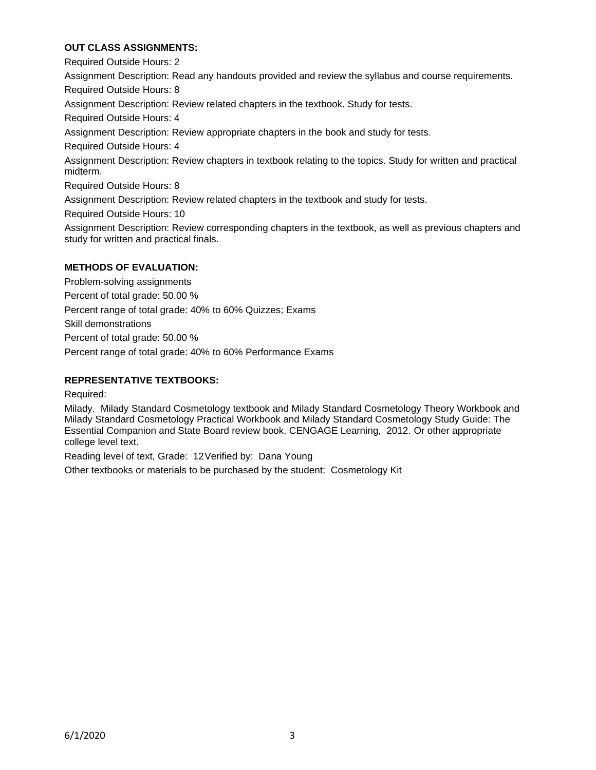# **OUT CLASS ASSIGNMENTS:**

Required Outside Hours: 2 Assignment Description: Read any handouts provided and review the syllabus and course requirements. Required Outside Hours: 8 Assignment Description: Review related chapters in the textbook. Study for tests. Required Outside Hours: 4 Assignment Description: Review appropriate chapters in the book and study for tests. Required Outside Hours: 4 Assignment Description: Review chapters in textbook relating to the topics. Study for written and practical midterm. Required Outside Hours: 8 Assignment Description: Review related chapters in the textbook and study for tests. Required Outside Hours: 10 Assignment Description: Review corresponding chapters in the textbook, as well as previous chapters and study for written and practical finals.

# **METHODS OF EVALUATION:**

Problem-solving assignments Percent of total grade: 50.00 % Percent range of total grade: 40% to 60% Quizzes; Exams Skill demonstrations Percent of total grade: 50.00 % Percent range of total grade: 40% to 60% Performance Exams

# **REPRESENTATIVE TEXTBOOKS:**

Required:

Milady. Milady Standard Cosmetology textbook and Milady Standard Cosmetology Theory Workbook and Milady Standard Cosmetology Practical Workbook and Milady Standard Cosmetology Study Guide: The Essential Companion and State Board review book. CENGAGE Learning, 2012. Or other appropriate college level text.

Reading level of text, Grade: 12Verified by: Dana Young

Other textbooks or materials to be purchased by the student: Cosmetology Kit